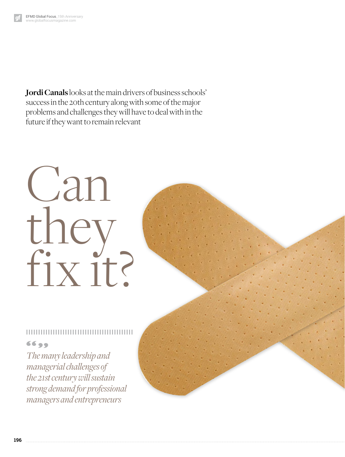**Jordi Canals** looks at the main drivers of business schools' success in the 20th century along with some of the major problems and challenges they will have to deal with in the future if they want to remain relevant

# Can they fix it?

## 6699

*The many leadership and managerial challenges of the 21st century will sustain strong demand for professional managers and entrepreneurs*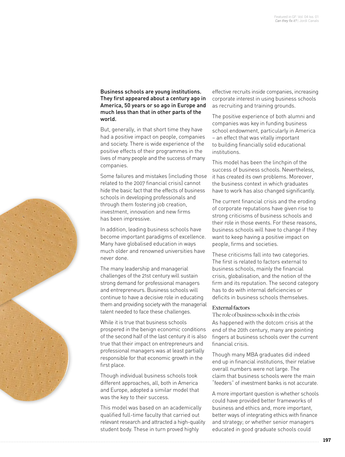Business schools are young institutions. They first appeared about a century ago in America, 50 years or so ago in Europe and much less than that in other parts of the world.

But, generally, in that short time they have had a positive impact on people, companies and society. There is wide experience of the positive effects of their programmes in the lives of many people and the success of many companies.

Some failures and mistakes (including those related to the 2007 financial crisis) cannot hide the basic fact that the effects of business schools in developing professionals and through them fostering job creation, investment, innovation and new firms has been impressive.

In addition, leading business schools have become important paradigms of excellence. Many have globalised education in ways much older and renowned universities have never done.

The many leadership and managerial challenges of the 21st century will sustain strong demand for professional managers and entrepreneurs. Business schools will continue to have a decisive role in educating them and providing society with the managerial talent needed to face these challenges.

While it is true that business schools prospered in the benign economic conditions of the second half of the last century it is also true that their impact on entrepreneurs and professional managers was at least partially responsible for that economic growth in the first place.

Though individual business schools took different approaches, all, both in America and Europe, adopted a similar model that was the key to their success.

This model was based on an academically qualified full-time faculty that carried out relevant research and attracted a high-quality student body. These in turn proved highly

effective recruits inside companies, increasing corporate interest in using business schools as recruiting and training grounds.

The positive experience of both alumni and companies was key in funding business school endowment, particularly in America – an effect that was vitally important to building financially solid educational institutions.

This model has been the linchpin of the success of business schools. Nevertheless, it has created its own problems. Moreover, the business context in which graduates have to work has also changed significantly.

The current financial crisis and the eroding of corporate reputations have given rise to strong criticisms of business schools and their role in those events. For these reasons, business schools will have to change if they want to keep having a positive impact on people, firms and societies.

These criticisms fall into two categories. The first is related to factors external to business schools, mainly the financial crisis, globalisation, and the notion of the firm and its reputation. The second category has to do with internal deficiencies or deficits in business schools themselves.

### External factors

The role of business schools in the crisis As happened with the dotcom crisis at the end of the 20th century, many are pointing fingers at business schools over the current financial crisis.

Though many MBA graduates did indeed end up in financial institutions, their relative overall numbers were not large. The claim that business schools were the main "feeders" of investment banks is not accurate.

A more important question is whether schools could have provided better frameworks of business and ethics and, more important, better ways of integrating ethics with finance and strategy; or whether senior managers educated in good graduate schools could

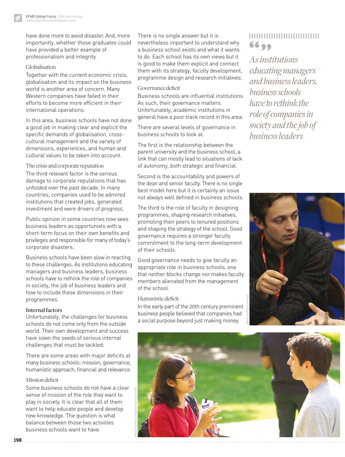have done more to avoid disaster. And, more importantly, whether those graduates could have provided a better example of professionalism and integrity.

#### Globalisation

Together with the current economic crisis, globalisation and its impact on the business world is another area of concern. Many Western companies have failed in their efforts to become more efficient in their international operations.

In this area, business schools have not done a good job in making clear and explicit the specific demands of globalisation, crosscultural management and the variety of dimensions, experiences, and human and cultural values to be taken into account.

The crisis and corporate reputation The third relevant factor is the serious damage to corporate reputations that has unfolded over the past decade. In many countries, companies used to be admired institutions that created jobs, generated investment and were drivers of progress.

Public opinion in some countries now sees business leaders as opportunists with a short-term focus on their own benefits and privileges and responsible for many of today's corporate disasters.

Business schools have been slow in reacting to these challenges. As institutions educating managers and business leaders, business schools have to rethink the role of companies in society, the job of business leaders and how to include these dimensions in their programmes.

#### Internal factors

Unfortunately, the challenges for business schools do not come only from the outside world. Their own development and success have sown the seeds of serious internal challenges that must be tackled.

There are some areas with major deficits at many business schools: mission, governance, humanistic approach, financial and relevance.

#### Mission deficit

Some business schools do not have a clear sense of mission of the role they want to play in society. It is clear that all of them want to help educate people and develop new knowledge. The question is what balance between those two activities business schools want to have.

There is no single answer but it is nevertheless important to understand why a business school exists and what it wants to do. Each school has its own views but it is good to make them explicit and connect them with its strategy, faculty development, programme design and research initiatives.

#### Governance deficit

Business schools are influential institutions. As such, their governance matters. Unfortunately, academic institutions in general have a poor track record in this area.

There are several levels of governance in business schools to look at.

The first is the relationship between the parent university and the business school, a link that can mostly lead to situations of lack of autonomy, both strategic and financial.

Second is the accountability and powers of the dean and senior faculty. There is no single best model here but it is certainly an issue not always well defined in business schools.

The third is the role of faculty in designing programmes, shaping research initiatives, promoting their peers to tenured positions and shaping the strategy of the school. Good governance requires a stronger faculty commitment to the long-term development of their schools.

Good governance needs to give faculty an appropriate role in business schools, one that neither blocks change nor makes faculty members alienated from the management of the school.

### Humanistic deficit

In the early part of the 20th century prominent business people believed that companies had a social purpose beyond just making money.

# ,,,,,,,,,,,,,,,,,,,,,,,,,,, 6699

*As institutions educating managers and business leaders, business schools have to rethink the role of companies in society and the job of business leaders*



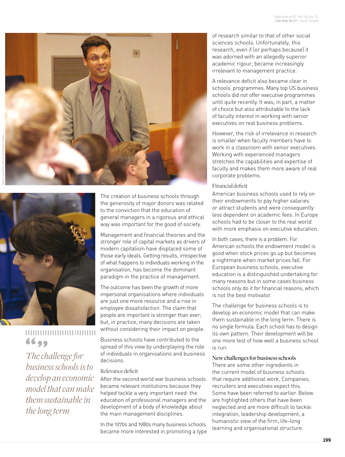



# ,,,,,,,,,,,,,,,,,,,,,,,,,,,, 6699

*The challenge for business schools is to develop an economic model that can make them sustainable in the long term*

The creation of business schools through the generosity of major donors was related to the conviction that the education of general managers in a rigorous and ethical way was important for the good of society.

Management and financial theories and the stronger role of capital markets as drivers of modern capitalism have displaced some of those early ideals. Getting results, irrespective of what happens to individuals working in the organisation, has become the dominant paradigm in the practice of management.

The outcome has been the growth of more impersonal organisations where individuals are just one more resource and a rise in employee dissatisfaction. The claim that people are important is stronger than ever; but, in practice, many decisions are taken without considering their impact on people.

Business schools have contributed to the spread of this view by underplaying the role of individuals in organisations and business decisions.

#### Relevance deficit

After the second world war business schools became relevant institutions because they helped tackle a very important need: the education of professional managers and the development of a body of knowledge about the main management disciplines.

In the 1970s and 1980s many business schools became more interested in promoting a type of research similar to that of other social sciences schools. Unfortunately, this research, even if (or perhaps because) it was adorned with an allegedly superior academic rigour, became increasingly irrelevant to management practice.

A relevance deficit also became clear in schools' programmes. Many top US business schools did not offer executive programmes until quite recently. It was, in part, a matter of choice but also attributable to the lack of faculty interest in working with senior executives on real business problems.

However, the risk of irrelevance in research is smaller when faculty members have to work in a classroom with senior executives. Working with experienced managers stretches the capabilities and expertise of faculty and makes them more aware of real corporate problems.

#### Financial deficit

American business schools used to rely on their endowments to pay higher salaries or attract students and were consequently less dependent on academic fees. In Europe schools had to be closer to the real world with more emphasis on executive education.

In both cases, there is a problem. For American schools the endowment model is good when stock prices go up but becomes a nightmare when market prices fall. For European business schools, executive education is a distinguished undertaking for many reasons but in some cases business schools only do it for financial reasons, which is not the best motivator.

The challenge for business schools is to develop an economic model that can make them sustainable in the long term. There is no single formula. Each school has to design its own pattern. Their development will be one more test of how well a business school is run.

#### New challenges for business schools

There are some other ingredients in the current model of business schools that require additional work. Companies, recruiters and executives expect this. Some have been referred to earlier. Below are highlighted others that have been neglected and are more difficult to tackle: integration, leadership development, a humanistic view of the firm, life-long learning and organisational structure.